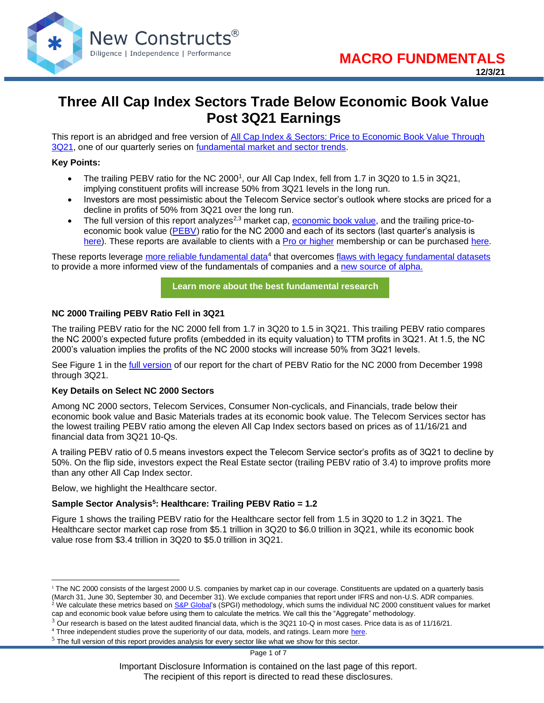

## **Three All Cap Index Sectors Trade Below Economic Book Value Post 3Q21 Earnings**

This report is an abridged and free version of All Cap Index & Sectors: Price to Economic Book Value Through [3Q21,](https://www.newconstructs.com/all-cap-index-sectors-price-to-economic-book-value-through-3q21/) one of our quarterly series on [fundamental market and sector trends.](https://www.newconstructs.com/category/fundamental-market-sector-trends/)

#### **Key Points:**

- The trailing PEBV ratio for the NC 2000<sup>1</sup>, our All Cap Index, fell from 1.7 in 3Q20 to 1.5 in 3Q21, implying constituent profits will increase 50% from 3Q21 levels in the long run.
- Investors are most pessimistic about the Telecom Service sector's outlook where stocks are priced for a decline in profits of 50% from 3Q21 over the long run.
- The full version of this report analyzes<sup>2,3</sup> market cap, [economic book value,](https://www.newconstructs.com/education-economic-book-value/) and the trailing price-to-economic book value [\(PEBV\)](https://www.newconstructs.com/education-economic-book-value/) ratio for the NC 2000 and each of its sectors (last quarter's analysis is [here\)](https://www.newconstructs.com/all-cap-index-sectors-price-to-economic-book-value-through-2q21/). These reports are available to clients with a [Pro or higher](https://www.newconstructs.com/professional-membership/) membership or can be purchased [here.](https://shop.newconstructs.com/products/s-p-500-sectors-core-earnings-vs-gaap-earnings-download)

These reports leverage *more reliable fundamental data*<sup>4</sup> that overcomes [flaws with legacy fundamental datasets](https://www.newconstructs.com/evidence-on-the-superiority-of-our-earnings-data/) to provide a more informed view of the fundamentals of companies and a [new source of alpha.](https://www.newconstructs.com/alpha-from-earnings-distortion/)

**[Learn more about the best fundamental research](https://www.newconstructs.com/email-sign-up-best-fundamental-research/)**

#### **NC 2000 Trailing PEBV Ratio Fell in 3Q21**

The trailing PEBV ratio for the NC 2000 fell from 1.7 in 3Q20 to 1.5 in 3Q21. This trailing PEBV ratio compares the NC 2000's expected future profits (embedded in its equity valuation) to TTM profits in 3Q21. At 1.5, the NC 2000's valuation implies the profits of the NC 2000 stocks will increase 50% from 3Q21 levels.

See Figure 1 in the [full version](https://www.newconstructs.com/all-cap-index-sectors-price-to-economic-book-value-through-3q21/) of our report for the chart of PEBV Ratio for the NC 2000 from December 1998 through 3Q21.

#### **Key Details on Select NC 2000 Sectors**

Among NC 2000 sectors, Telecom Services, Consumer Non-cyclicals, and Financials, trade below their economic book value and Basic Materials trades at its economic book value. The Telecom Services sector has the lowest trailing PEBV ratio among the eleven All Cap Index sectors based on prices as of 11/16/21 and financial data from 3Q21 10-Qs.

A trailing PEBV ratio of 0.5 means investors expect the Telecom Service sector's profits as of 3Q21 to decline by 50%. On the flip side, investors expect the Real Estate sector (trailing PEBV ratio of 3.4) to improve profits more than any other All Cap Index sector.

Below, we highlight the Healthcare sector.

#### **Sample Sector Analysis<sup>5</sup> : Healthcare: Trailing PEBV Ratio = 1.2**

Figure 1 shows the trailing PEBV ratio for the Healthcare sector fell from 1.5 in 3Q20 to 1.2 in 3Q21. The Healthcare sector market cap rose from \$5.1 trillion in 3Q20 to \$6.0 trillion in 3Q21, while its economic book value rose from \$3.4 trillion in 3Q20 to \$5.0 trillion in 3Q21.

Page 1 of 7

 $1$  The NC 2000 consists of the largest 2000 U.S. companies by market cap in our coverage. Constituents are updated on a quarterly basis (March 31, June 30, September 30, and December 31). We exclude companies that report under IFRS and non-U.S. ADR companies. <sup>2</sup> We calculate these metrics based o[n S&P Global's](https://www.spglobal.com/spdji/en/indices/equity/sp-500/#data) (SPGI) methodology, which sums the individual NC 2000 constituent values for market cap and economic book value before using them to calculate the metrics. We call this the "Aggregate" methodology.

 $3$  Our research is based on the latest audited financial data, which is the 3Q21 10-Q in most cases. Price data is as of 11/16/21.

<sup>&</sup>lt;sup>4</sup> Three independent studies prove the superiority of our data, models, and ratings. Learn more [here.](https://www.newconstructs.com/proof-of-the-superiority-of-our-data-models-ratings/)

 $<sup>5</sup>$  The full version of this report provides analysis for every sector like what we show for this sector.</sup>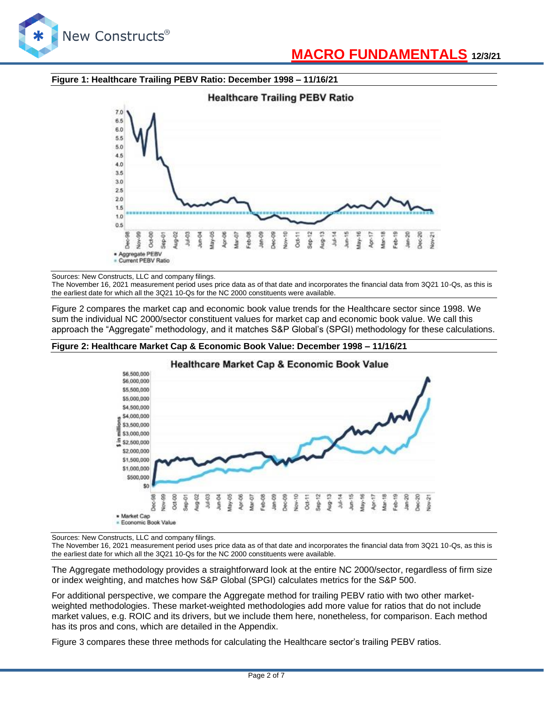

#### **Figure 1: Healthcare Trailing PEBV Ratio: December 1998 – 11/16/21**



Sources: New Constructs, LLC and company filings.

The November 16, 2021 measurement period uses price data as of that date and incorporates the financial data from 3Q21 10-Qs, as this is the earliest date for which all the 3Q21 10-Qs for the NC 2000 constituents were available.

Figure 2 compares the market cap and economic book value trends for the Healthcare sector since 1998. We sum the individual NC 2000/sector constituent values for market cap and economic book value. We call this approach the "Aggregate" methodology, and it matches S&P Global's (SPGI) methodology for these calculations.

#### **Figure 2: Healthcare Market Cap & Economic Book Value: December 1998 – 11/16/21**



Sources: New Constructs, LLC and company filings.

The November 16, 2021 measurement period uses price data as of that date and incorporates the financial data from 3Q21 10-Qs, as this is the earliest date for which all the 3Q21 10-Qs for the NC 2000 constituents were available.

The Aggregate methodology provides a straightforward look at the entire NC 2000/sector, regardless of firm size or index weighting, and matches how S&P Global (SPGI) calculates metrics for the S&P 500.

For additional perspective, we compare the Aggregate method for trailing PEBV ratio with two other marketweighted methodologies. These market-weighted methodologies add more value for ratios that do not include market values, e.g. ROIC and its drivers, but we include them here, nonetheless, for comparison. Each method has its pros and cons, which are detailed in the Appendix.

Figure 3 compares these three methods for calculating the Healthcare sector's trailing PEBV ratios.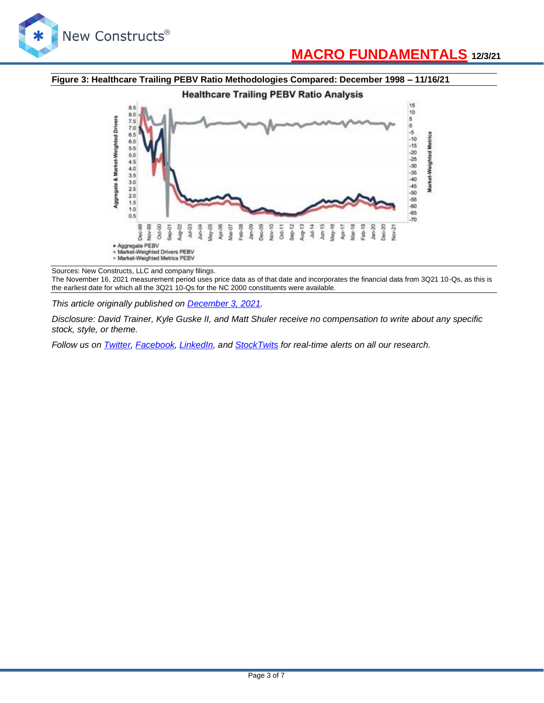

# **[MACRO FUNDAMENTALS](http://blog.newconstructs.com/) 12/3/21**

#### **Figure 3: Healthcare Trailing PEBV Ratio Methodologies Compared: December 1998 – 11/16/21**



Sources: New Constructs, LLC and company filings.

The November 16, 2021 measurement period uses price data as of that date and incorporates the financial data from 3Q21 10-Qs, as this is the earliest date for which all the 3Q21 10-Qs for the NC 2000 constituents were available.

*This article originally published on [December 3, 2021.](https://www.newconstructs.com/three-all-cap-index-sectors-trade-below-economic-book-value-post-3q21-earnings/)*

*Disclosure: David Trainer, Kyle Guske II, and Matt Shuler receive no compensation to write about any specific stock, style, or theme.*

*Follow us on [Twitter,](https://twitter.com/NewConstructs) [Facebook,](https://www.facebook.com/newconstructsllc/) [LinkedIn,](https://www.linkedin.com/company/new-constructs) and [StockTwits](https://stocktwits.com/dtrainer_NewConstructs) for real-time alerts on all our research.*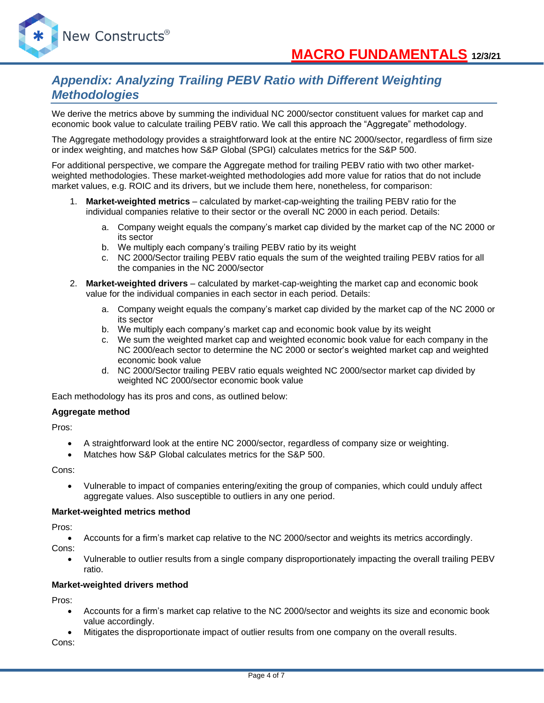

## *Appendix: Analyzing Trailing PEBV Ratio with Different Weighting Methodologies*

We derive the metrics above by summing the individual NC 2000/sector constituent values for market cap and economic book value to calculate trailing PEBV ratio. We call this approach the "Aggregate" methodology.

The Aggregate methodology provides a straightforward look at the entire NC 2000/sector, regardless of firm size or index weighting, and matches how S&P Global (SPGI) calculates metrics for the S&P 500.

For additional perspective, we compare the Aggregate method for trailing PEBV ratio with two other marketweighted methodologies. These market-weighted methodologies add more value for ratios that do not include market values, e.g. ROIC and its drivers, but we include them here, nonetheless, for comparison:

- 1. **Market-weighted metrics** calculated by market-cap-weighting the trailing PEBV ratio for the individual companies relative to their sector or the overall NC 2000 in each period. Details:
	- a. Company weight equals the company's market cap divided by the market cap of the NC 2000 or its sector
	- b. We multiply each company's trailing PEBV ratio by its weight
	- c. NC 2000/Sector trailing PEBV ratio equals the sum of the weighted trailing PEBV ratios for all the companies in the NC 2000/sector
- 2. **Market-weighted drivers** calculated by market-cap-weighting the market cap and economic book value for the individual companies in each sector in each period. Details:
	- a. Company weight equals the company's market cap divided by the market cap of the NC 2000 or its sector
	- b. We multiply each company's market cap and economic book value by its weight
	- c. We sum the weighted market cap and weighted economic book value for each company in the NC 2000/each sector to determine the NC 2000 or sector's weighted market cap and weighted economic book value
	- d. NC 2000/Sector trailing PEBV ratio equals weighted NC 2000/sector market cap divided by weighted NC 2000/sector economic book value

Each methodology has its pros and cons, as outlined below:

#### **Aggregate method**

Pros:

- A straightforward look at the entire NC 2000/sector, regardless of company size or weighting.
- Matches how S&P Global calculates metrics for the S&P 500.

Cons:

• Vulnerable to impact of companies entering/exiting the group of companies, which could unduly affect aggregate values. Also susceptible to outliers in any one period.

#### **Market-weighted metrics method**

Pros:

• Accounts for a firm's market cap relative to the NC 2000/sector and weights its metrics accordingly.

Cons:

• Vulnerable to outlier results from a single company disproportionately impacting the overall trailing PEBV ratio.

#### **Market-weighted drivers method**

Pros:

- Accounts for a firm's market cap relative to the NC 2000/sector and weights its size and economic book value accordingly.
- Mitigates the disproportionate impact of outlier results from one company on the overall results.

Cons: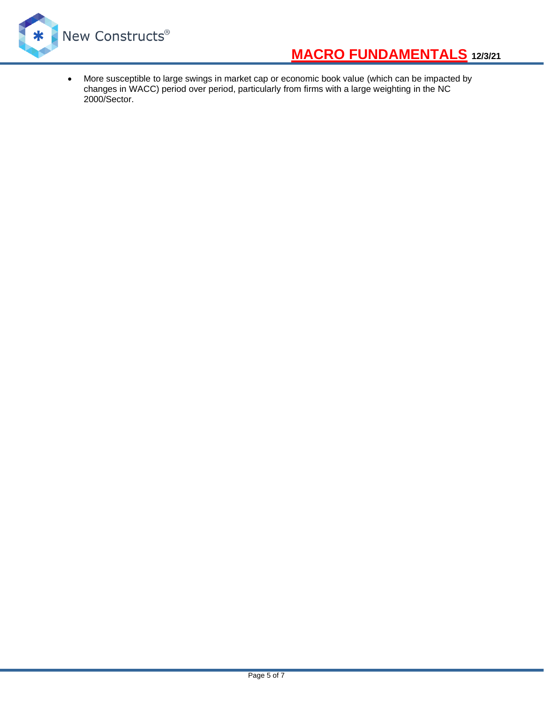

# **[MACRO FUNDAMENTALS](http://blog.newconstructs.com/) 12/3/21**

• More susceptible to large swings in market cap or economic book value (which can be impacted by changes in WACC) period over period, particularly from firms with a large weighting in the NC 2000/Sector.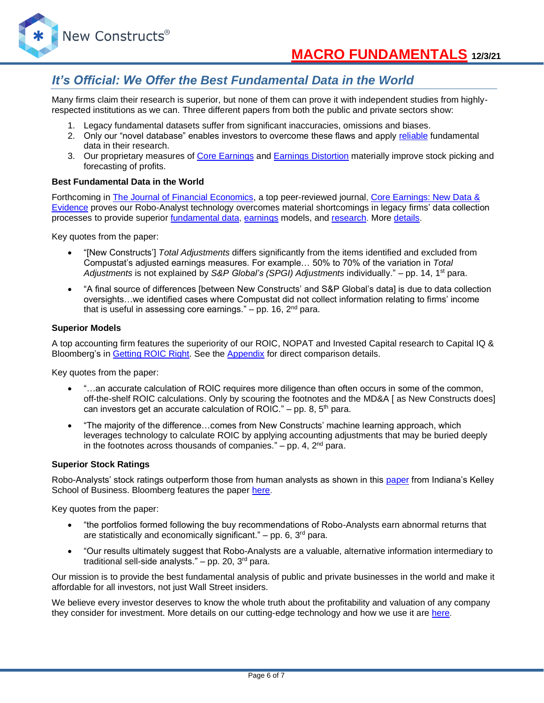### *It's Official: We Offer the Best Fundamental Data in the World*

Many firms claim their research is superior, but none of them can prove it with independent studies from highlyrespected institutions as we can. Three different papers from both the public and private sectors show:

- 1. Legacy fundamental datasets suffer from significant inaccuracies, omissions and biases.
- 2. Only our "novel database" enables investors to overcome these flaws and apply [reliable](https://www.newconstructs.com/evidence-on-the-superiority-of-our-earnings-data/) fundamental data in their research.
- 3. Our proprietary measures of [Core Earnings](https://www.newconstructs.com/education-core-earnings-earnings-distortion/) and [Earnings Distortion](https://www.newconstructs.com/earnings-distortion-score-methodology/) materially improve stock picking and forecasting of profits.

#### **Best Fundamental Data in the World**

Forthcoming in [The Journal of Financial Economics,](http://jfe.rochester.edu/) a top peer-reviewed journal, [Core Earnings: New Data &](https://papers.ssrn.com/sol3/papers.cfm?abstract_id=3467814)  [Evidence](https://papers.ssrn.com/sol3/papers.cfm?abstract_id=3467814) proves our Robo-Analyst technology overcomes material shortcomings in legacy firms' data collection processes to provide superior [fundamental data,](https://www.newconstructs.com/data/) [earnings](https://www.newconstructs.com/education-core-earnings-earnings-distortion/) models, and [research.](https://www.newconstructs.com/blog/) More [details.](https://www.newconstructs.com/evidence-on-the-superiority-of-our-earnings-data/)

Key quotes from the paper:

- "[New Constructs'] *Total Adjustments* differs significantly from the items identified and excluded from Compustat's adjusted earnings measures. For example… 50% to 70% of the variation in *Total Adjustments* is not explained by *S&P Global's (SPGI) Adjustments* individually." – pp. 14, 1st para.
- "A final source of differences [between New Constructs' and S&P Global's data] is due to data collection oversights…we identified cases where Compustat did not collect information relating to firms' income that is useful in assessing core earnings."  $-$  pp. 16,  $2<sup>nd</sup>$  para.

#### **Superior Models**

A top accounting firm features the superiority of our ROIC, NOPAT and Invested Capital research to Capital IQ & Bloomberg's in [Getting](https://www.newconstructs.com/getting-roic-right/) ROIC Right. See the [Appendix](https://www.newconstructs.com/wp-content/uploads/2019/06/Getting-ROIC-Right.pdf) for direct comparison details.

Key quotes from the paper:

- "...an accurate calculation of ROIC requires more diligence than often occurs in some of the common, off-the-shelf ROIC calculations. Only by scouring the footnotes and the MD&A [ as New Constructs does] can investors get an accurate calculation of ROIC." – pp. 8,  $5<sup>th</sup>$  para.
- "The majority of the difference…comes from New Constructs' machine learning approach, which leverages technology to calculate ROIC by applying accounting adjustments that may be buried deeply in the footnotes across thousands of companies."  $-$  pp. 4,  $2<sup>nd</sup>$  para.

#### **Superior Stock Ratings**

Robo-Analysts' stock ratings outperform those from human analysts as shown in this [paper](https://papers.ssrn.com/sol3/papers.cfm?abstract_id=3514879) from Indiana's Kelley School of Business. Bloomberg features the paper [here.](https://www.bloomberg.com/news/articles/2020-02-11/robot-analysts-outwit-humans-in-study-of-profit-from-stock-calls?sref=zw7RLDfe)

Key quotes from the paper:

- "the portfolios formed following the buy recommendations of Robo-Analysts earn abnormal returns that are statistically and economically significant."  $-$  pp. 6, 3<sup>rd</sup> para.
- "Our results ultimately suggest that Robo-Analysts are a valuable, alternative information intermediary to traditional sell-side analysts."  $-$  pp. 20, 3<sup>rd</sup> para.

Our mission is to provide the best fundamental analysis of public and private businesses in the world and make it affordable for all investors, not just Wall Street insiders.

We believe every investor deserves to know the whole truth about the profitability and valuation of any company they consider for investment. More details on our cutting-edge technology and how we use it are [here.](https://www.youtube.com/watch?v=wRUr5w4zDVA)